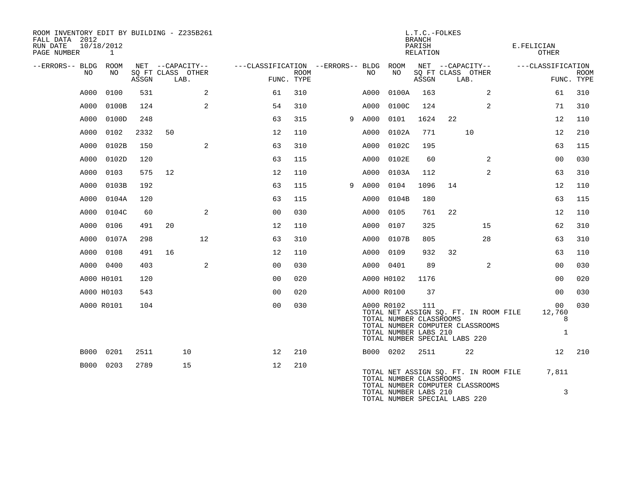| ROOM INVENTORY EDIT BY BUILDING - Z235B261<br>FALL DATA 2012<br>RUN DATE<br>PAGE NUMBER | 10/18/2012<br>1 |       |                                               |                                                 |             |   |      |                                                                | L.T.C.-FOLKES<br><b>BRANCH</b><br>PARISH<br>RELATION |                                                                                                            | E.FELICIAN<br><b>OTHER</b>                    |                           |
|-----------------------------------------------------------------------------------------|-----------------|-------|-----------------------------------------------|-------------------------------------------------|-------------|---|------|----------------------------------------------------------------|------------------------------------------------------|------------------------------------------------------------------------------------------------------------|-----------------------------------------------|---------------------------|
| --ERRORS-- BLDG ROOM<br>NO.                                                             | NO.             | ASSGN | NET --CAPACITY--<br>SQ FT CLASS OTHER<br>LAB. | ---CLASSIFICATION --ERRORS-- BLDG<br>FUNC. TYPE | <b>ROOM</b> |   | NO   | ROOM<br>NO                                                     | ASSGN                                                | NET --CAPACITY--<br>SQ FT CLASS OTHER<br>LAB.                                                              | ---CLASSIFICATION                             | <b>ROOM</b><br>FUNC. TYPE |
| A000                                                                                    | 0100            | 531   | 2                                             | 61                                              | 310         |   | A000 | 0100A                                                          | 163                                                  | 2                                                                                                          | 61                                            | 310                       |
| A000                                                                                    | 0100B           | 124   | 2                                             | 54                                              | 310         |   | A000 | 0100C                                                          | 124                                                  | 2                                                                                                          | 71                                            | 310                       |
| A000                                                                                    | 0100D           | 248   |                                               | 63                                              | 315         | 9 | A000 | 0101                                                           | 1624                                                 | 22                                                                                                         | 12                                            | 110                       |
| A000                                                                                    | 0102            | 2332  | 50                                            | 12                                              | 110         |   | A000 | 0102A                                                          | 771                                                  | 10                                                                                                         | 12                                            | 210                       |
| A000                                                                                    | 0102B           | 150   | 2                                             | 63                                              | 310         |   | A000 | 0102C                                                          | 195                                                  |                                                                                                            | 63                                            | 115                       |
| A000                                                                                    | 0102D           | 120   |                                               | 63                                              | 115         |   | A000 | 0102E                                                          | 60                                                   | $\overline{2}$                                                                                             | 00                                            | 030                       |
| A000                                                                                    | 0103            | 575   | 12                                            | 12                                              | 110         |   | A000 | 0103A                                                          | 112                                                  | 2                                                                                                          | 63                                            | 310                       |
| A000                                                                                    | 0103B           | 192   |                                               | 63                                              | 115         | 9 | A000 | 0104                                                           | 1096                                                 | 14                                                                                                         | 12                                            | 110                       |
| A000                                                                                    | 0104A           | 120   |                                               | 63                                              | 115         |   | A000 | 0104B                                                          | 180                                                  |                                                                                                            | 63                                            | 115                       |
| A000                                                                                    | 0104C           | 60    | 2                                             | 0 <sub>0</sub>                                  | 030         |   | A000 | 0105                                                           | 761                                                  | 22                                                                                                         | 12                                            | 110                       |
| A000                                                                                    | 0106            | 491   | 20                                            | 12                                              | 110         |   | A000 | 0107                                                           | 325                                                  | 15                                                                                                         | 62                                            | 310                       |
| A000                                                                                    | 0107A           | 298   | 12                                            | 63                                              | 310         |   | A000 | 0107B                                                          | 805                                                  | 28                                                                                                         | 63                                            | 310                       |
| A000                                                                                    | 0108            | 491   | 16                                            | 12                                              | 110         |   | A000 | 0109                                                           | 932                                                  | 32                                                                                                         | 63                                            | 110                       |
| A000                                                                                    | 0400            | 403   | 2                                             | 0 <sub>0</sub>                                  | 030         |   |      | A000 0401                                                      | 89                                                   | $\overline{2}$                                                                                             | 00                                            | 030                       |
|                                                                                         | A000 H0101      | 120   |                                               | 0 <sub>0</sub>                                  | 020         |   |      | A000 H0102                                                     | 1176                                                 |                                                                                                            | 0 <sub>0</sub>                                | 020                       |
|                                                                                         | A000 H0103      | 543   |                                               | 0 <sub>0</sub>                                  | 020         |   |      | A000 R0100                                                     | 37                                                   |                                                                                                            | 00                                            | 030                       |
|                                                                                         | A000 R0101      | 104   |                                               | 0 <sub>0</sub>                                  | 030         |   |      | A000 R0102<br>TOTAL NUMBER CLASSROOMS<br>TOTAL NUMBER LABS 210 | 111                                                  | TOTAL NET ASSIGN SQ. FT. IN ROOM FILE<br>TOTAL NUMBER COMPUTER CLASSROOMS<br>TOTAL NUMBER SPECIAL LABS 220 | 0 <sub>0</sub><br>12,760<br>8<br>$\mathbf{1}$ | 030                       |
| <b>B000</b>                                                                             | 0201            | 2511  | 10                                            | 12                                              | 210         |   |      | B000 0202                                                      | 2511                                                 | 22                                                                                                         | 12                                            | 210                       |
| B000                                                                                    | 0203            | 2789  | 15                                            | 12                                              | 210         |   |      | TOTAL NUMBER CLASSROOMS<br>TOTAL NUMBER LABS 210               |                                                      | TOTAL NET ASSIGN SQ. FT. IN ROOM FILE<br>TOTAL NUMBER COMPUTER CLASSROOMS<br>TOTAL NUMBER SPECIAL LABS 220 | 7,811<br>3                                    |                           |